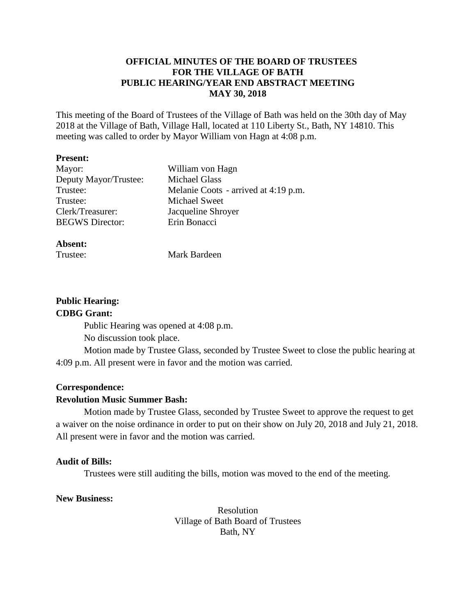# **OFFICIAL MINUTES OF THE BOARD OF TRUSTEES FOR THE VILLAGE OF BATH PUBLIC HEARING/YEAR END ABSTRACT MEETING MAY 30, 2018**

This meeting of the Board of Trustees of the Village of Bath was held on the 30th day of May 2018 at the Village of Bath, Village Hall, located at 110 Liberty St., Bath, NY 14810. This meeting was called to order by Mayor William von Hagn at 4:08 p.m.

#### **Present:**

| Mayor:                 | William von Hagn                     |
|------------------------|--------------------------------------|
| Deputy Mayor/Trustee:  | <b>Michael Glass</b>                 |
| Trustee:               | Melanie Coots - arrived at 4:19 p.m. |
| Trustee:               | Michael Sweet                        |
| Clerk/Treasurer:       | Jacqueline Shroyer                   |
| <b>BEGWS</b> Director: | Erin Bonacci                         |
|                        |                                      |

#### **Absent:**

Mark Bardeen

# **Public Hearing:**

# **CDBG Grant:**

Public Hearing was opened at 4:08 p.m.

No discussion took place.

Motion made by Trustee Glass, seconded by Trustee Sweet to close the public hearing at 4:09 p.m. All present were in favor and the motion was carried.

## **Correspondence:**

# **Revolution Music Summer Bash:**

Motion made by Trustee Glass, seconded by Trustee Sweet to approve the request to get a waiver on the noise ordinance in order to put on their show on July 20, 2018 and July 21, 2018. All present were in favor and the motion was carried.

## **Audit of Bills:**

Trustees were still auditing the bills, motion was moved to the end of the meeting.

# **New Business:**

Resolution Village of Bath Board of Trustees Bath, NY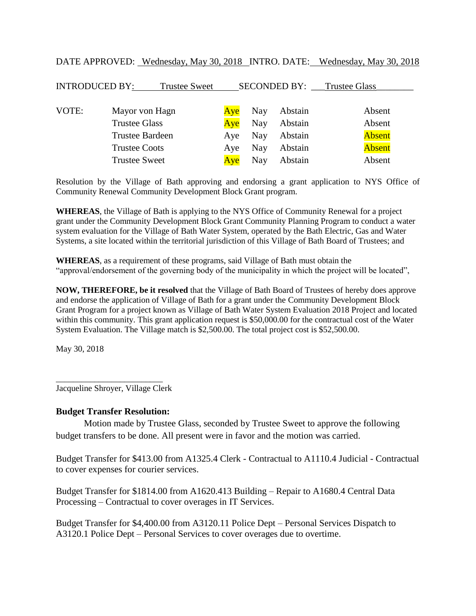| <b>INTRODUCED BY:</b> | <b>Trustee Sweet</b>   |     |     | SECONDED BY: | <b>Trustee Glass</b> |
|-----------------------|------------------------|-----|-----|--------------|----------------------|
| VOTE:                 | Mayor von Hagn         | Ave | Nay | Abstain      | Absent               |
|                       | <b>Trustee Glass</b>   | Aye | Nay | Abstain      | Absent               |
|                       | <b>Trustee Bardeen</b> | Aye | Nay | Abstain      | <b>Absent</b>        |
|                       | <b>Trustee Coots</b>   | Aye | Nay | Abstain      | <b>Absent</b>        |
|                       | <b>Trustee Sweet</b>   | Ave | Nay | Abstain      | Absent               |

DATE APPROVED: Wednesday, May 30, 2018 INTRO. DATE: Wednesday, May 30, 2018

Resolution by the Village of Bath approving and endorsing a grant application to NYS Office of Community Renewal Community Development Block Grant program.

**WHEREAS**, the Village of Bath is applying to the NYS Office of Community Renewal for a project grant under the Community Development Block Grant Community Planning Program to conduct a water system evaluation for the Village of Bath Water System, operated by the Bath Electric, Gas and Water Systems, a site located within the territorial jurisdiction of this Village of Bath Board of Trustees; and

**WHEREAS**, as a requirement of these programs, said Village of Bath must obtain the "approval/endorsement of the governing body of the municipality in which the project will be located",

**NOW, THEREFORE, be it resolved** that the Village of Bath Board of Trustees of hereby does approve and endorse the application of Village of Bath for a grant under the Community Development Block Grant Program for a project known as Village of Bath Water System Evaluation 2018 Project and located within this community. This grant application request is \$50,000.00 for the contractual cost of the Water System Evaluation. The Village match is \$2,500.00. The total project cost is \$52,500.00.

May 30, 2018

\_\_\_\_\_\_\_\_\_\_\_\_\_\_\_\_\_\_\_\_\_\_\_\_\_ Jacqueline Shroyer, Village Clerk

#### **Budget Transfer Resolution:**

Motion made by Trustee Glass, seconded by Trustee Sweet to approve the following budget transfers to be done. All present were in favor and the motion was carried.

Budget Transfer for \$413.00 from A1325.4 Clerk - Contractual to A1110.4 Judicial - Contractual to cover expenses for courier services.

Budget Transfer for \$1814.00 from A1620.413 Building – Repair to A1680.4 Central Data Processing – Contractual to cover overages in IT Services.

Budget Transfer for \$4,400.00 from A3120.11 Police Dept – Personal Services Dispatch to A3120.1 Police Dept – Personal Services to cover overages due to overtime.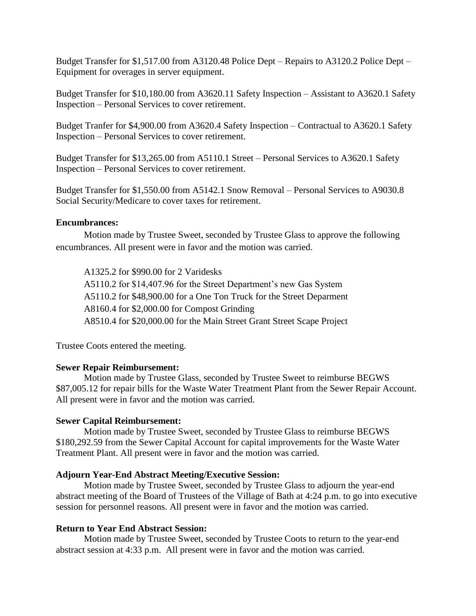Budget Transfer for \$1,517.00 from A3120.48 Police Dept – Repairs to A3120.2 Police Dept – Equipment for overages in server equipment.

Budget Transfer for \$10,180.00 from A3620.11 Safety Inspection – Assistant to A3620.1 Safety Inspection – Personal Services to cover retirement.

Budget Tranfer for \$4,900.00 from A3620.4 Safety Inspection – Contractual to A3620.1 Safety Inspection – Personal Services to cover retirement.

Budget Transfer for \$13,265.00 from A5110.1 Street – Personal Services to A3620.1 Safety Inspection – Personal Services to cover retirement.

Budget Transfer for \$1,550.00 from A5142.1 Snow Removal – Personal Services to A9030.8 Social Security/Medicare to cover taxes for retirement.

## **Encumbrances:**

Motion made by Trustee Sweet, seconded by Trustee Glass to approve the following encumbrances. All present were in favor and the motion was carried.

A1325.2 for \$990.00 for 2 Varidesks A5110.2 for \$14,407.96 for the Street Department's new Gas System A5110.2 for \$48,900.00 for a One Ton Truck for the Street Deparment A8160.4 for \$2,000.00 for Compost Grinding A8510.4 for \$20,000.00 for the Main Street Grant Street Scape Project

Trustee Coots entered the meeting.

## **Sewer Repair Reimbursement:**

Motion made by Trustee Glass, seconded by Trustee Sweet to reimburse BEGWS \$87,005.12 for repair bills for the Waste Water Treatment Plant from the Sewer Repair Account. All present were in favor and the motion was carried.

## **Sewer Capital Reimbursement:**

Motion made by Trustee Sweet, seconded by Trustee Glass to reimburse BEGWS \$180,292.59 from the Sewer Capital Account for capital improvements for the Waste Water Treatment Plant. All present were in favor and the motion was carried.

## **Adjourn Year-End Abstract Meeting/Executive Session:**

Motion made by Trustee Sweet, seconded by Trustee Glass to adjourn the year-end abstract meeting of the Board of Trustees of the Village of Bath at 4:24 p.m. to go into executive session for personnel reasons. All present were in favor and the motion was carried.

# **Return to Year End Abstract Session:**

Motion made by Trustee Sweet, seconded by Trustee Coots to return to the year-end abstract session at 4:33 p.m. All present were in favor and the motion was carried.